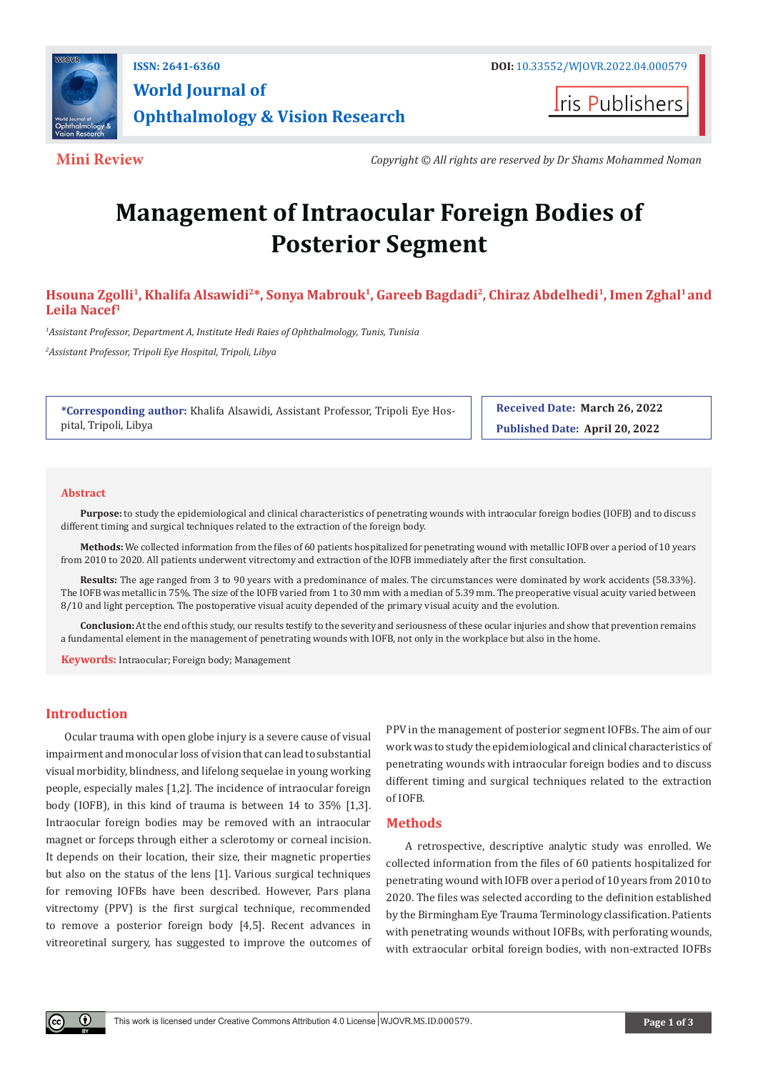

**Iris Publishers** 

**Mini Review** *Copyright © All rights are reserved by Dr Shams Mohammed Noman*

# **Management of Intraocular Foreign Bodies of Posterior Segment**

Hsouna Zgolli<sup>1</sup>, Khalifa Alsawidi<sup>2\*</sup>, Sonya Mabrouk<sup>1</sup>, Gareeb Bagdadi<sup>2</sup>, Chiraz Abdelhedi<sup>1</sup>, Imen Zghal<sup>1</sup> and **Leila Nacef1**

*1 Assistant Professor, Department A, Institute Hedi Raies of Ophthalmology, Tunis, Tunisia*

*2 Assistant Professor, Tripoli Eye Hospital, Tripoli, Libya*

**\*Corresponding author:** Khalifa Alsawidi, Assistant Professor, Tripoli Eye Hospital, Tripoli, Libya

**Received Date: March 26, 2022 Published Date: April 20, 2022**

#### **Abstract**

**Purpose:** to study the epidemiological and clinical characteristics of penetrating wounds with intraocular foreign bodies (IOFB) and to discuss different timing and surgical techniques related to the extraction of the foreign body.

**Methods:** We collected information from the files of 60 patients hospitalized for penetrating wound with metallic IOFB over a period of 10 years from 2010 to 2020. All patients underwent vitrectomy and extraction of the IOFB immediately after the first consultation.

**Results:** The age ranged from 3 to 90 years with a predominance of males. The circumstances were dominated by work accidents (58.33%). The IOFB was metallic in 75%. The size of the IOFB varied from 1 to 30 mm with a median of 5.39 mm. The preoperative visual acuity varied between 8/10 and light perception. The postoperative visual acuity depended of the primary visual acuity and the evolution.

**Conclusion:** At the end of this study, our results testify to the severity and seriousness of these ocular injuries and show that prevention remains a fundamental element in the management of penetrating wounds with IOFB, not only in the workplace but also in the home.

**Keywords:** Intraocular; Foreign body; Management

# **Introduction**

Ocular trauma with open globe injury is a severe cause of visual impairment and monocular loss of vision that can lead to substantial visual morbidity, blindness, and lifelong sequelae in young working people, especially males [1,2]. The incidence of intraocular foreign body (IOFB), in this kind of trauma is between 14 to 35% [1,3]. Intraocular foreign bodies may be removed with an intraocular magnet or forceps through either a sclerotomy or corneal incision. It depends on their location, their size, their magnetic properties but also on the status of the lens [1]. Various surgical techniques for removing IOFBs have been described. However, Pars plana vitrectomy (PPV) is the first surgical technique, recommended to remove a posterior foreign body [4,5]. Recent advances in vitreoretinal surgery, has suggested to improve the outcomes of PPV in the management of posterior segment IOFBs. The aim of our work was to study the epidemiological and clinical characteristics of penetrating wounds with intraocular foreign bodies and to discuss different timing and surgical techniques related to the extraction of IOFB.

# **Methods**

A retrospective, descriptive analytic study was enrolled. We collected information from the files of 60 patients hospitalized for penetrating wound with IOFB over a period of 10 years from 2010 to 2020. The files was selected according to the definition established by the Birmingham Eye Trauma Terminology classification. Patients with penetrating wounds without IOFBs, with perforating wounds, with extraocular orbital foreign bodies, with non-extracted IOFBs

 $\odot$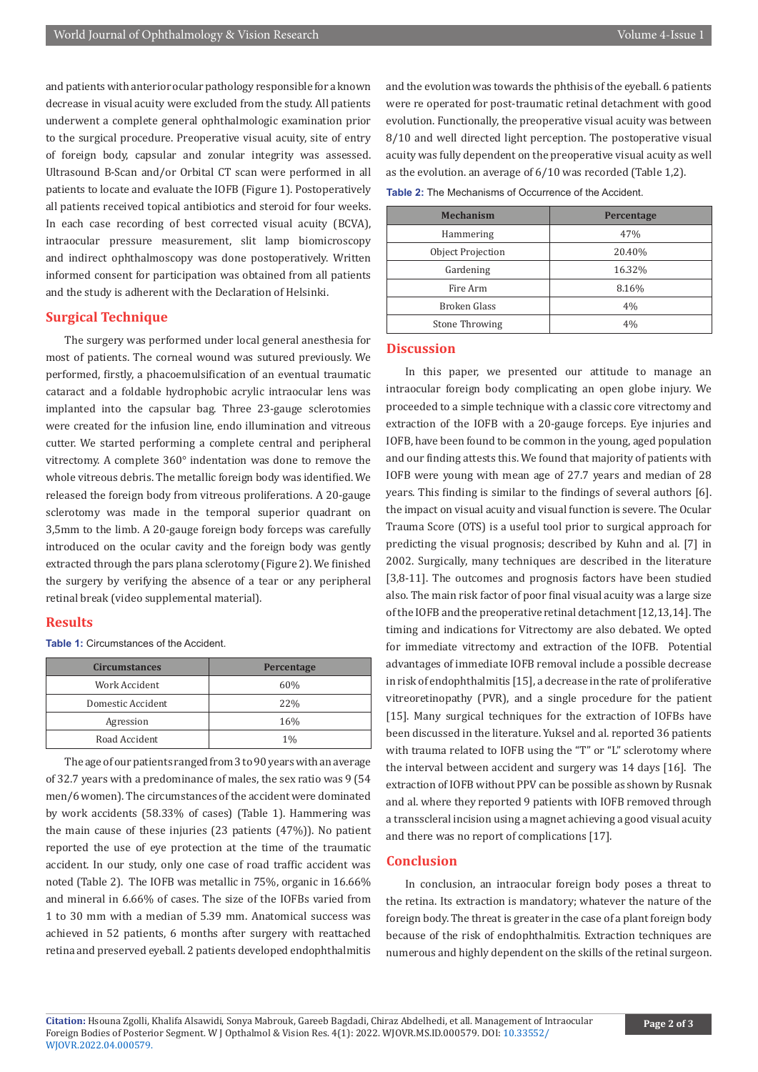and patients with anterior ocular pathology responsible for a known decrease in visual acuity were excluded from the study. All patients underwent a complete general ophthalmologic examination prior to the surgical procedure. Preoperative visual acuity, site of entry of foreign body, capsular and zonular integrity was assessed. Ultrasound B-Scan and/or Orbital CT scan were performed in all patients to locate and evaluate the IOFB (Figure 1). Postoperatively all patients received topical antibiotics and steroid for four weeks. In each case recording of best corrected visual acuity (BCVA), intraocular pressure measurement, slit lamp biomicroscopy and indirect ophthalmoscopy was done postoperatively. Written informed consent for participation was obtained from all patients and the study is adherent with the Declaration of Helsinki.

# **Surgical Technique**

The surgery was performed under local general anesthesia for most of patients. The corneal wound was sutured previously. We performed, firstly, a phacoemulsification of an eventual traumatic cataract and a foldable hydrophobic acrylic intraocular lens was implanted into the capsular bag. Three 23-gauge sclerotomies were created for the infusion line, endo illumination and vitreous cutter. We started performing a complete central and peripheral vitrectomy. A complete 360° indentation was done to remove the whole vitreous debris. The metallic foreign body was identified. We released the foreign body from vitreous proliferations. A 20-gauge sclerotomy was made in the temporal superior quadrant on 3,5mm to the limb. A 20-gauge foreign body forceps was carefully introduced on the ocular cavity and the foreign body was gently extracted through the pars plana sclerotomy (Figure 2). We finished the surgery by verifying the absence of a tear or any peripheral retinal break (video supplemental material).

# **Results**

**Table 1:** Circumstances of the Accident.

| <b>Circumstances</b> | Percentage |
|----------------------|------------|
| Work Accident        | 60%        |
| Domestic Accident    | 22%        |
| Agression            | 16%        |
| Road Accident        | $1\%$      |

The age of our patients ranged from 3 to 90 years with an average of 32.7 years with a predominance of males, the sex ratio was 9 (54 men/6 women). The circumstances of the accident were dominated by work accidents (58.33% of cases) (Table 1). Hammering was the main cause of these injuries (23 patients (47%)). No patient reported the use of eye protection at the time of the traumatic accident. In our study, only one case of road traffic accident was noted (Table 2). The IOFB was metallic in 75%, organic in 16.66% and mineral in 6.66% of cases. The size of the IOFBs varied from 1 to 30 mm with a median of 5.39 mm. Anatomical success was achieved in 52 patients, 6 months after surgery with reattached retina and preserved eyeball. 2 patients developed endophthalmitis

and the evolution was towards the phthisis of the eyeball. 6 patients were re operated for post-traumatic retinal detachment with good evolution. Functionally, the preoperative visual acuity was between 8/10 and well directed light perception. The postoperative visual acuity was fully dependent on the preoperative visual acuity as well as the evolution. an average of 6/10 was recorded (Table 1,2).

| <b>Mechanism</b>      | <b>Percentage</b> |
|-----------------------|-------------------|
| Hammering             | 47%               |
| Object Projection     | 20.40%            |
| Gardening             | 16.32%            |
| Fire Arm              | 8.16%             |
| Broken Glass          | 4%                |
| <b>Stone Throwing</b> | 4%                |

# **Discussion**

In this paper, we presented our attitude to manage an intraocular foreign body complicating an open globe injury. We proceeded to a simple technique with a classic core vitrectomy and extraction of the IOFB with a 20-gauge forceps. Eye injuries and IOFB, have been found to be common in the young, aged population and our finding attests this. We found that majority of patients with IOFB were young with mean age of 27.7 years and median of 28 years. This finding is similar to the findings of several authors [6]. the impact on visual acuity and visual function is severe. The Ocular Trauma Score (OTS) is a useful tool prior to surgical approach for predicting the visual prognosis; described by Kuhn and al. [7] in 2002. Surgically, many techniques are described in the literature [3,8-11]. The outcomes and prognosis factors have been studied also. The main risk factor of poor final visual acuity was a large size of the IOFB and the preoperative retinal detachment [12,13,14]. The timing and indications for Vitrectomy are also debated. We opted for immediate vitrectomy and extraction of the IOFB. Potential advantages of immediate IOFB removal include a possible decrease in risk of endophthalmitis [15], a decrease in the rate of proliferative vitreoretinopathy (PVR), and a single procedure for the patient [15]. Many surgical techniques for the extraction of IOFBs have been discussed in the literature. Yuksel and al. reported 36 patients with trauma related to IOFB using the "T" or "L" sclerotomy where the interval between accident and surgery was 14 days [16]. The extraction of IOFB without PPV can be possible as shown by Rusnak and al. where they reported 9 patients with IOFB removed through a transscleral incision using a magnet achieving a good visual acuity and there was no report of complications [17].

# **Conclusion**

In conclusion, an intraocular foreign body poses a threat to the retina. Its extraction is mandatory; whatever the nature of the foreign body. The threat is greater in the case of a plant foreign body because of the risk of endophthalmitis. Extraction techniques are numerous and highly dependent on the skills of the retinal surgeon.